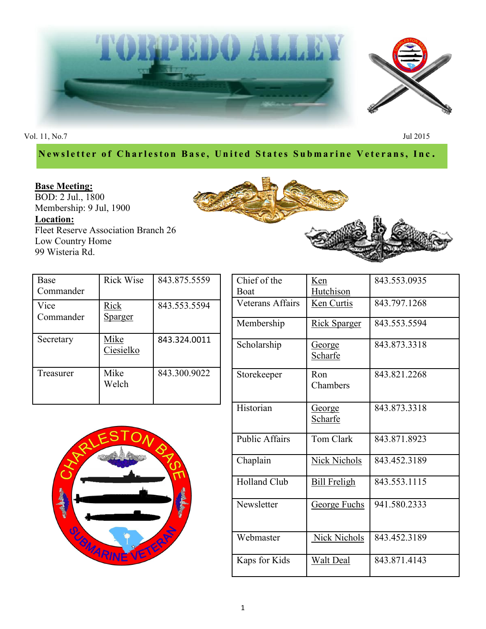

Vol. 11, No.7 Jul 2015

# **Newsletter of Charleston Base, United States Submarine Veterans, Inc.**

# **Base Meeting:**

BOD: 2 Jul., 1800 Membership: 9 Jul, 1900 **Location:** Fleet Reserve Association Branch 26 Low Country Home 99 Wisteria Rd.



| <b>Base</b>       | <b>Rick Wise</b>       | 843.875.5559 |
|-------------------|------------------------|--------------|
| Commander         |                        |              |
| Vice<br>Commander | Rick<br><b>Sparger</b> | 843.553.5594 |
| Secretary         | Mike<br>Ciesielko      | 843.324.0011 |
| Treasurer         | Mike<br>Welch          | 843.300.9022 |



| Chief of the          | <u>Ken</u>                      | 843.553.0935 |
|-----------------------|---------------------------------|--------------|
| Boat                  | <b>Hutchison</b>                |              |
| Veterans Affairs      | <u>Ken Curtis</u>               | 843.797.1268 |
| Membership            | <b>Rick Sparger</b>             | 843.553.5594 |
| Scholarship           | <u>George</u><br><u>Scharfe</u> | 843.873.3318 |
| Storekeeper           | Ron<br>Chambers                 | 843.821.2268 |
| Historian             | <u>George</u><br>Scharfe        | 843.873.3318 |
| <b>Public Affairs</b> | <b>Tom Clark</b>                | 843.871.8923 |
| Chaplain              | Nick Nichols                    | 843.452.3189 |
| <b>Holland Club</b>   | <b>Bill Freligh</b>             | 843.553.1115 |
| Newsletter            | <b>George Fuchs</b>             | 941.580.2333 |
| Webmaster             | Nick Nichols                    | 843.452.3189 |
| Kaps for Kids         | Walt Deal                       | 843.871.4143 |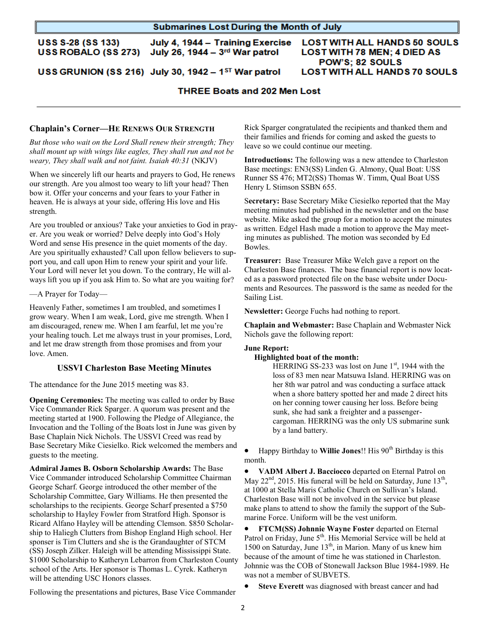**USS S-28 (SS 133)** USS ROBALO (SS 273) July 4, 1944 - Training Exercise July 26, 1944 - 3rd War patrol

**LOST WITH ALL HANDS 50 SOULS LOST WITH 78 MEN: 4 DIED AS** POW'S: 82 SOULS **LOST WITH ALL HANDS 70 SOULS** 

USS GRUNION (SS 216) July 30, 1942 - 1ST War patrol

### **THREE Boats and 202 Men Lost**

#### **Chaplain's Corner—HE RENEWS OUR STRENGTH**

*But those who wait on the Lord Shall renew their strength; They shall mount up with wings like eagles, They shall run and not be weary, They shall walk and not faint. Isaiah 40:31* (NKJV)

When we sincerely lift our hearts and prayers to God, He renews our strength. Are you almost too weary to lift your head? Then bow it. Offer your concerns and your fears to your Father in heaven. He is always at your side, offering His love and His strength.

Are you troubled or anxious? Take your anxieties to God in prayer. Are you weak or worried? Delve deeply into God's Holy Word and sense His presence in the quiet moments of the day. Are you spiritually exhausted? Call upon fellow believers to support you, and call upon Him to renew your spirit and your life. Your Lord will never let you down. To the contrary, He will always lift you up if you ask Him to. So what are you waiting for?

—A Prayer for Today—

Heavenly Father, sometimes I am troubled, and sometimes I grow weary. When I am weak, Lord, give me strength. When I am discouraged, renew me. When I am fearful, let me you're your healing touch. Let me always trust in your promises, Lord, and let me draw strength from those promises and from your love. Amen.

#### **USSVI Charleston Base Meeting Minutes**

The attendance for the June 2015 meeting was 83.

**Opening Ceremonies:** The meeting was called to order by Base Vice Commander Rick Sparger. A quorum was present and the meeting started at 1900. Following the Pledge of Allegiance, the Invocation and the Tolling of the Boats lost in June was given by Base Chaplain Nick Nichols. The USSVI Creed was read by Base Secretary Mike Ciesielko. Rick welcomed the members and guests to the meeting.

**Admiral James B. Osborn Scholarship Awards:** The Base Vice Commander introduced Scholarship Committee Chairman George Scharf. George introduced the other member of the Scholarship Committee, Gary Williams. He then presented the scholarships to the recipients. George Scharf presented a \$750 scholarship to Hayley Fowler from Stratford High. Sponsor is Ricard Alfano Hayley will be attending Clemson. \$850 Scholarship to Haliegh Clutters from Bishop England High school. Her sponser is Tim Clutters and she is the Grandaughter of STCM (SS) Joseph Zilker. Haleigh will be attending Mississippi State. \$1000 Scholarship to Katheryn Lebarron from Charleston County school of the Arts. Her sponsor is Thomas L. Cyrek. Katheryn will be attending USC Honors classes.

Rick Sparger congratulated the recipients and thanked them and their families and friends for coming and asked the guests to leave so we could continue our meeting.

**Introductions:** The following was a new attendee to Charleston Base meetings: EN3(SS) Linden G. Almony, Qual Boat: USS Runner SS 476; MT2(SS) Thomas W. Timm, Qual Boat USS Henry L Stimson SSBN 655.

S**ecretary:** Base Secretary Mike Ciesielko reported that the May meeting minutes had published in the newsletter and on the base website. Mike asked the group for a motion to accept the minutes as written. Edgel Hash made a motion to approve the May meeting minutes as published. The motion was seconded by Ed Bowles.

**Treasurer:** Base Treasurer Mike Welch gave a report on the Charleston Base finances. The base financial report is now located as a password protected file on the base website under Documents and Resources. The password is the same as needed for the Sailing List.

**Newsletter:** George Fuchs had nothing to report.

**Chaplain and Webmaster:** Base Chaplain and Webmaster Nick Nichols gave the following report:

#### **June Report:**

#### **Highlighted boat of the month:**

HERRING SS-233 was lost on June  $1<sup>st</sup>$ , 1944 with the loss of 83 men near Matsuwa Island. HERRING was on her 8th war patrol and was conducting a surface attack when a shore battery spotted her and made 2 direct hits on her conning tower causing her loss. Before being sunk, she had sank a freighter and a passengercargoman. HERRING was the only US submarine sunk by a land battery.

Happy Birthday to **Willie Jones**!! His 90<sup>th</sup> Birthday is this month.

 **VADM Albert J. Bacciocco** departed on Eternal Patrol on May  $22<sup>nd</sup>$ , 2015. His funeral will be held on Saturday, June  $13<sup>th</sup>$ , at 1000 at Stella Maris Catholic Church on Sullivan's Island. Charleston Base will not be involved in the service but please make plans to attend to show the family the support of the Submarine Force. Uniform will be the vest uniform.

 **FTCM(SS) Johnnie Wayne Foster** departed on Eternal Patrol on Friday, June  $5<sup>th</sup>$ . His Memorial Service will be held at 1500 on Saturday, June  $13<sup>th</sup>$ , in Marion. Many of us knew him because of the amount of time he was stationed in Charleston. Johnnie was the COB of Stonewall Jackson Blue 1984-1989. He was not a member of SUBVETS.

**Steve Everett** was diagnosed with breast cancer and had

Following the presentations and pictures, Base Vice Commander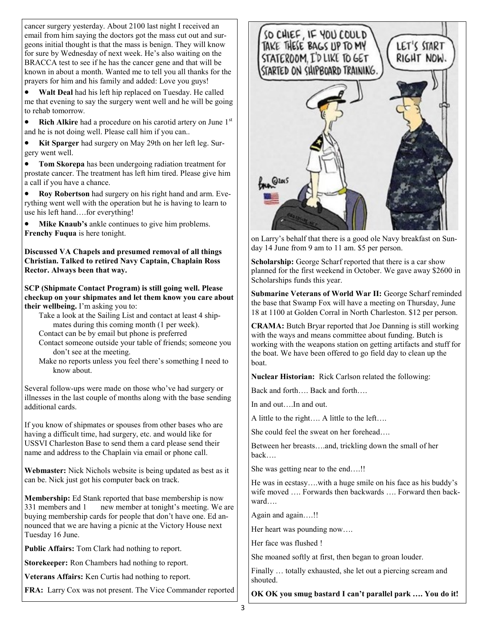cancer surgery yesterday. About 2100 last night I received an email from him saying the doctors got the mass cut out and surgeons initial thought is that the mass is benign. They will know for sure by Wednesday of next week. He's also waiting on the BRACCA test to see if he has the cancer gene and that will be known in about a month. Wanted me to tell you all thanks for the prayers for him and his family and added: Love you guys!

 **Walt Deal** had his left hip replaced on Tuesday. He called me that evening to say the surgery went well and he will be going to rehab tomorrow*.*

• Rich Alkire had a procedure on his carotid artery on June 1<sup>st</sup> and he is not doing well. Please call him if you can..

 **Kit Sparger** had surgery on May 29th on her left leg. Surgery went well.

 **Tom Skorepa** has been undergoing radiation treatment for prostate cancer. The treatment has left him tired. Please give him a call if you have a chance.

 **Roy Robertson** had surgery on his right hand and arm. Everything went well with the operation but he is having to learn to use his left hand….for everything!

 **Mike Knaub's** ankle continues to give him problems. **Frenchy Fuqua** is here tonight.

**Discussed VA Chapels and presumed removal of all things Christian. Talked to retired Navy Captain, Chaplain Ross Rector. Always been that way.** 

**SCP (Shipmate Contact Program) is still going well. Please checkup on your shipmates and let them know you care about their wellbeing.** I'm asking you to:

Take a look at the Sailing List and contact at least 4 shipmates during this coming month (1 per week).

Contact can be by email but phone is preferred

Contact someone outside your table of friends; someone you don't see at the meeting.

Make no reports unless you feel there's something I need to know about.

Several follow-ups were made on those who've had surgery or illnesses in the last couple of months along with the base sending additional cards.

If you know of shipmates or spouses from other bases who are having a difficult time, had surgery, etc. and would like for USSVI Charleston Base to send them a card please send their name and address to the Chaplain via email or phone call.

**Webmaster:** Nick Nichols website is being updated as best as it can be. Nick just got his computer back on track.

**Membership:** Ed Stank reported that base membership is now 331 members and 1 new member at tonight's meeting. We are buying membership cards for people that don't have one. Ed announced that we are having a picnic at the Victory House next Tuesday 16 June.

**Public Affairs:** Tom Clark had nothing to report.

**Storekeeper:** Ron Chambers had nothing to report.

**Veterans Affairs:** Ken Curtis had nothing to report.

**FRA:** Larry Cox was not present. The Vice Commander reported



on Larry's behalf that there is a good ole Navy breakfast on Sunday 14 June from 9 am to 11 am. \$5 per person.

**Scholarship:** George Scharf reported that there is a car show planned for the first weekend in October. We gave away \$2600 in Scholarships funds this year.

**Submarine Veterans of World War II: George Scharf reminded** the base that Swamp Fox will have a meeting on Thursday, June 18 at 1100 at Golden Corral in North Charleston. \$12 per person.

**CRAMA:** Butch Bryar reported that Joe Danning is still working with the ways and means committee about funding. Butch is working with the weapons station on getting artifacts and stuff for the boat. We have been offered to go field day to clean up the boat.

**Nuclear Historian:** Rick Carlson related the following:

Back and forth…. Back and forth….

In and out….In and out.

A little to the right…. A little to the left….

She could feel the sweat on her forehead….

Between her breasts….and, trickling down the small of her back….

She was getting near to the end….!!

He was in ecstasy….with a huge smile on his face as his buddy's wife moved .... Forwards then backwards .... Forward then backward….

Again and again….!!

Her heart was pounding now….

Her face was flushed !

She moaned softly at first, then began to groan louder.

Finally ... totally exhausted, she let out a piercing scream and shouted.

### **OK OK you smug bastard I can't parallel park …. You do it!**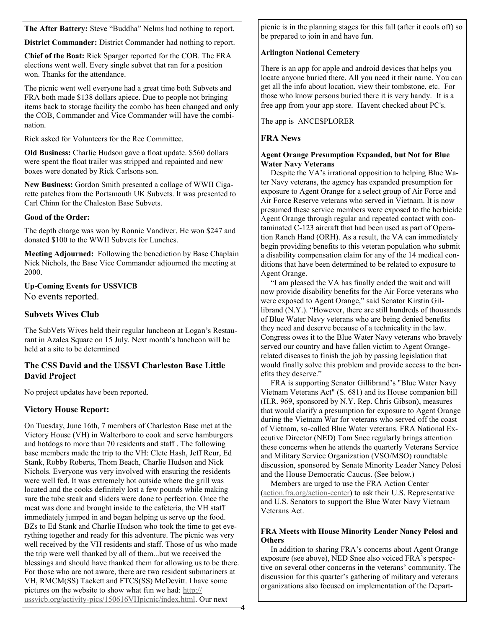The After Battery: Steve "Buddha" Nelms had nothing to report.

**District Commander:** District Commander had nothing to report.

**Chief of the Boat:** Rick Sparger reported for the COB. The FRA elections went well. Every single subvet that ran for a position won. Thanks for the attendance.

The picnic went well everyone had a great time both Subvets and FRA both made \$138 dollars apiece. Due to people not bringing items back to storage facility the combo has been changed and only the COB, Commander and Vice Commander will have the combination.

Rick asked for Volunteers for the Rec Committee.

**Old Business:** Charlie Hudson gave a float update. \$560 dollars were spent the float trailer was stripped and repainted and new boxes were donated by Rick Carlsons son.

**New Business:** Gordon Smith presented a collage of WWII Cigarette patches from the Portsmouth UK Subvets. It was presented to Carl Chinn for the Chaleston Base Subvets.

### **Good of the Order:**

The depth charge was won by Ronnie Vandiver. He won \$247 and donated \$100 to the WWII Subvets for Lunches.

**Meeting Adjourned:** Following the benediction by Base Chaplain Nick Nichols, the Base Vice Commander adjourned the meeting at 2000.

**Up-Coming Events for USSVICB** No events reported.

# **Subvets Wives Club**

The SubVets Wives held their regular luncheon at Logan's Restaurant in Azalea Square on 15 July. Next month's luncheon will be held at a site to be determined

# **The CSS David and the USSVI Charleston Base Little David Project**

No project updates have been reported.

### **Victory House Report:**

On Tuesday, June 16th, 7 members of Charleston Base met at the Victory House (VH) in Walterboro to cook and serve hamburgers and hotdogs to more than 70 residents and staff . The following base members made the trip to the VH: Clete Hash, Jeff Reur, Ed Stank, Robby Roberts, Thom Beach, Charlie Hudson and Nick Nichols. Everyone was very involved with ensuring the residents were well fed. It was extremely hot outside where the grill was located and the cooks definitely lost a few pounds while making sure the tube steak and sliders were done to perfection. Once the meat was done and brought inside to the cafeteria, the VH staff immediately jumped in and began helping us serve up the food. BZs to Ed Stank and Charlie Hudson who took the time to get everything together and ready for this adventure. The picnic was very well received by the VH residents and staff. Those of us who made the trip were well thanked by all of them...but we received the blessings and should have thanked them for allowing us to be there. For those who are not aware, there are two resident submariners at VH, RMCM(SS) Tackett and FTCS(SS) McDevitt. I have some pictures on the website to show what fun we had: [http://](http://ussvicb.org/activity-pics/150616VHpicnic/index.html) ussvicb.org/activity-[pics/150616VHpicnic/index.html.](http://ussvicb.org/activity-pics/150616VHpicnic/index.html) Our next

picnic is in the planning stages for this fall (after it cools off) so be prepared to join in and have fun.

### **Arlington National Cemetery**

There is an app for apple and android devices that helps you locate anyone buried there. All you need it their name. You can get all the info about location, view their tombstone, etc. For those who know persons buried there it is very handy. It is a free app from your app store. Havent checked about PC's.

The app is ANCESPLORER

# **FRA News**

### **Agent Orange Presumption Expanded, but Not for Blue Water Navy Veterans**

 Despite the VA's irrational opposition to helping Blue Water Navy veterans, the agency has expanded presumption for exposure to Agent Orange for a select group of Air Force and Air Force Reserve veterans who served in Vietnam. It is now presumed these service members were exposed to the herbicide Agent Orange through regular and repeated contact with contaminated C-123 aircraft that had been used as part of Operation Ranch Hand (ORH). As a result, the VA can immediately begin providing benefits to this veteran population who submit a disability compensation claim for any of the 14 medical conditions that have been determined to be related to exposure to Agent Orange.

"I am pleased the VA has finally ended the wait and will now provide disability benefits for the Air Force veterans who were exposed to Agent Orange," said Senator Kirstin Gillibrand  $(N.Y.)$ . "However, there are still hundreds of thousands of Blue Water Navy veterans who are being denied benefits they need and deserve because of a technicality in the law. Congress owes it to the Blue Water Navy veterans who bravely served our country and have fallen victim to Agent Orangerelated diseases to finish the job by passing legislation that would finally solve this problem and provide access to the benefits they deserve."

 FRA is supporting Senator Gillibrand's "Blue Water Navy Vietnam Veterans Act" (S. 681) and its House companion bill (H.R. 969, sponsored by N.Y. Rep. Chris Gibson), measures that would clarify a presumption for exposure to Agent Orange during the Vietnam War for veterans who served off the coast of Vietnam, so-called Blue Water veterans. FRA National Executive Director (NED) Tom Snee regularly brings attention these concerns when he attends the quarterly Veterans Service and Military Service Organization (VSO/MSO) roundtable discussion, sponsored by Senate Minority Leader Nancy Pelosi and the House Democratic Caucus. (See below.)

 Members are urged to use the FRA Action Center ([action.fra.org/action](http://cqrcengage.com/fra/app/thru?ep=AAAAC2Flc0NpcGhlcjAx9VKskHphbEAXFAHe6FPqOWkMEvG_6eV7z1iL-oVbF6kWI8ukEH0HSAN3eTUZVZC8Ix--j8eE7srb8jfK0QLpdm8XkZISrCM1zi_hea3_SSxo7yO8fUUMSh2aXrWxLiKJxK_hYxvzOMmsA3nzVuDHgw&lp=0)-center) to ask their U.S. Representative and U.S. Senators to support the Blue Water Navy Vietnam Veterans Act.

### **FRA Meets with House Minority Leader Nancy Pelosi and Others**

 In addition to sharing FRA's concerns about Agent Orange exposure (see above), NED Snee also voiced FRA's perspective on several other concerns in the veterans' community. The discussion for this quarter's gathering of military and veterans organizations also focused on implementation of the Depart-

4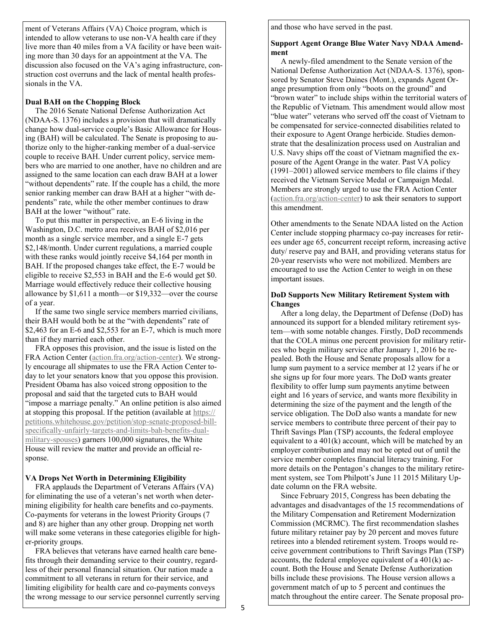ment of Veterans Affairs (VA) Choice program, which is intended to allow veterans to use non-VA health care if they live more than 40 miles from a VA facility or have been waiting more than 30 days for an appointment at the VA. The discussion also focused on the VA's aging infrastructure, construction cost overruns and the lack of mental health professionals in the VA.

#### **Dual BAH on the Chopping Block**

 The 2016 Senate National Defense Authorization Act (NDAA-S. 1376) includes a provision that will dramatically change how dual-service couple's Basic Allowance for Housing (BAH) will be calculated. The Senate is proposing to authorize only to the higher-ranking member of a dual-service couple to receive BAH. Under current policy, service members who are married to one another, have no children and are assigned to the same location can each draw BAH at a lower "without dependents" rate. If the couple has a child, the more senior ranking member can draw BAH at a higher "with dependents" rate, while the other member continues to draw BAH at the lower "without" rate.

 To put this matter in perspective, an E-6 living in the Washington, D.C. metro area receives BAH of \$2,016 per month as a single service member, and a single E-7 gets \$2,148/month. Under current regulations, a married couple with these ranks would jointly receive \$4,164 per month in BAH. If the proposed changes take effect, the E-7 would be eligible to receive \$2,553 in BAH and the E-6 would get \$0. Marriage would effectively reduce their collective housing allowance by \$1,611 a month—or \$19,332—over the course of a year.

 If the same two single service members married civilians, their BAH would both be at the "with dependents" rate of \$2,463 for an E-6 and \$2,553 for an E-7, which is much more than if they married each other.

 FRA opposes this provision, and the issue is listed on the FRA Action Center ([action.fra.org/action](http://cqrcengage.com/fra/app/thru?ep=AAAAC2Flc0NpcGhlcjAxLmhqmx60nCOVh30RE3HIvODXekicK_4qAiGluREjGUTxkKUq8t4Ssa0RvyiQjVqPOEHCz2vGGJAHG_z5S0_MjBM3RwcPNG5skgQ5-kY7cGBbX0cGADuKEJdlAGPSxe0v0jDrhHRD81IK_EUexRSuwA&lp=0)-center). We strongly encourage all shipmates to use the FRA Action Center today to let your senators know that you oppose this provision. President Obama has also voiced strong opposition to the proposal and said that the targeted cuts to BAH would "impose a marriage penalty." An online petition is also aimed at stopping this proposal. If the petition (available at [https://](http://cqrcengage.com/fra/app/thru?ep=AAAAC2Flc0NpcGhlcjAxVCo0x5AK7b5MtveGHeTSRyo_lToKHmzvebAbHaw6rbA3GB27lv1MNatn9yJKN9TqblzsMCa-LpSSFp8NtHA21Cap0qecLOHVtDjeUbxZ-DiYrGLTFbg18AsEih5Vt9F99LqH8wS7-2lWajyluHHO8L_1M60EBMB1TtvObySk--bDxQ2En_lc4yXd-p5p_6b_6tJmHHoLT) [petitions.whitehouse.gov/petition/stop](http://cqrcengage.com/fra/app/thru?ep=AAAAC2Flc0NpcGhlcjAxVCo0x5AK7b5MtveGHeTSRyo_lToKHmzvebAbHaw6rbA3GB27lv1MNatn9yJKN9TqblzsMCa-LpSSFp8NtHA21Cap0qecLOHVtDjeUbxZ-DiYrGLTFbg18AsEih5Vt9F99LqH8wS7-2lWajyluHHO8L_1M60EBMB1TtvObySk--bDxQ2En_lc4yXd-p5p_6b_6tJmHHoLT)-senate-proposed-bill[specifically](http://cqrcengage.com/fra/app/thru?ep=AAAAC2Flc0NpcGhlcjAxVCo0x5AK7b5MtveGHeTSRyo_lToKHmzvebAbHaw6rbA3GB27lv1MNatn9yJKN9TqblzsMCa-LpSSFp8NtHA21Cap0qecLOHVtDjeUbxZ-DiYrGLTFbg18AsEih5Vt9F99LqH8wS7-2lWajyluHHO8L_1M60EBMB1TtvObySk--bDxQ2En_lc4yXd-p5p_6b_6tJmHHoLT)-unfairly-targets-and-limits-bah-benefits-dualmilitary-[spouses\)](http://cqrcengage.com/fra/app/thru?ep=AAAAC2Flc0NpcGhlcjAxVCo0x5AK7b5MtveGHeTSRyo_lToKHmzvebAbHaw6rbA3GB27lv1MNatn9yJKN9TqblzsMCa-LpSSFp8NtHA21Cap0qecLOHVtDjeUbxZ-DiYrGLTFbg18AsEih5Vt9F99LqH8wS7-2lWajyluHHO8L_1M60EBMB1TtvObySk--bDxQ2En_lc4yXd-p5p_6b_6tJmHHoLT) garners 100,000 signatures, the White House will review the matter and provide an official response.

### **VA Drops Net Worth in Determining Eligibility**

 FRA applauds the Department of Veterans Affairs (VA) for eliminating the use of a veteran's net worth when determining eligibility for health care benefits and co-payments. Co-payments for veterans in the lowest Priority Groups (7 and 8) are higher than any other group. Dropping net worth will make some veterans in these categories eligible for higher-priority groups.

 FRA believes that veterans have earned health care benefits through their demanding service to their country, regardless of their personal financial situation. Our nation made a commitment to all veterans in return for their service, and limiting eligibility for health care and co-payments conveys the wrong message to our service personnel currently serving and those who have served in the past.

### **Support Agent Orange Blue Water Navy NDAA Amendment**

 A newly-filed amendment to the Senate version of the National Defense Authorization Act (NDAA-S. 1376), sponsored by Senator Steve Daines (Mont.), expands Agent Orange presumption from only "boots on the ground" and "brown water" to include ships within the territorial waters of the Republic of Vietnam. This amendment would allow most "blue water" veterans who served off the coast of Vietnam to be compensated for service-connected disabilities related to their exposure to Agent Orange herbicide. Studies demonstrate that the desalinization process used on Australian and U.S. Navy ships off the coast of Vietnam magnified the exposure of the Agent Orange in the water. Past VA policy (1991–2001) allowed service members to file claims if they received the Vietnam Service Medal or Campaign Medal. Members are strongly urged to use the FRA Action Center ([action.fra.org/action](http://cqrcengage.com/fra/app/thru?ep=AAAAC2Flc0NpcGhlcjAxFeoL8hdO_rLADdkfhoj1SZx0EWbO100rBBRAuuo0YBQXKAekUxF8Lzxc99Qrcd1x0TWqhYqJmAK8biwk7vfAlOcPS2LYhbzZ-BZrGKIzy5zQYlg-otO0GgkJjDzG9AQS69_eYKMvNwmsUn-MWy-y1Q&lp=0)-center) to ask their senators to support this amendment.

Other amendments to the Senate NDAA listed on the Action Center include stopping pharmacy co-pay increases for retirees under age 65, concurrent receipt reform, increasing active duty/ reserve pay and BAH, and providing veterans status for 20-year reservists who were not mobilized. Members are encouraged to use the Action Center to weigh in on these important issues.

### **DoD Supports New Military Retirement System with Changes**

 After a long delay, the Department of Defense (DoD) has announced its support for a blended military retirement system—with some notable changes. Firstly, DoD recommends that the COLA minus one percent provision for military retirees who begin military service after January 1, 2016 be repealed. Both the House and Senate proposals allow for a lump sum payment to a service member at 12 years if he or she signs up for four more years. The DoD wants greater flexibility to offer lump sum payments anytime between eight and 16 years of service, and wants more flexibility in determining the size of the payment and the length of the service obligation. The DoD also wants a mandate for new service members to contribute three percent of their pay to Thrift Savings Plan (TSP) accounts, the federal employee equivalent to a 401(k) account, which will be matched by an employer contribution and may not be opted out of until the service member completes financial literacy training. For more details on the Pentagon's changes to the military retirement system, see Tom Philpott's June 11 2015 Military Update column on the FRA website.

 Since February 2015, Congress has been debating the advantages and disadvantages of the 15 recommendations of the Military Compensation and Retirement Modernization Commission (MCRMC). The first recommendation slashes future military retainer pay by 20 percent and moves future retirees into a blended retirement system. Troops would receive government contributions to Thrift Savings Plan (TSP) accounts, the federal employee equivalent of a 401(k) account. Both the House and Senate Defense Authorization bills include these provisions. The House version allows a government match of up to 5 percent and continues the match throughout the entire career. The Senate proposal pro-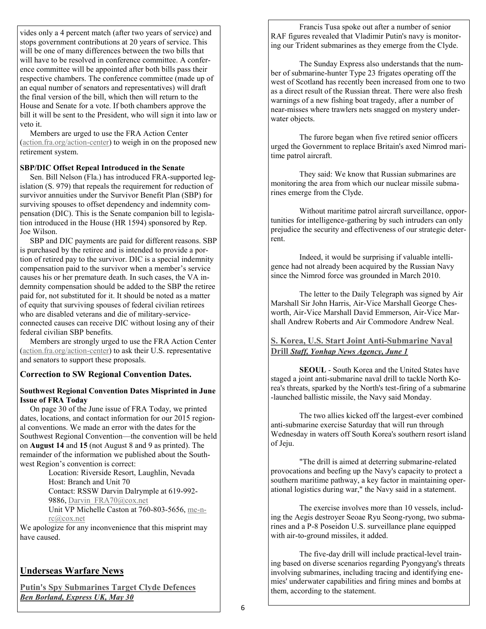vides only a 4 percent match (after two years of service) and stops government contributions at 20 years of service. This will be one of many differences between the two bills that will have to be resolved in conference committee. A conference committee will be appointed after both bills pass their respective chambers. The conference committee (made up of an equal number of senators and representatives) will draft the final version of the bill, which then will return to the House and Senate for a vote. If both chambers approve the bill it will be sent to the President, who will sign it into law or veto it.

 Members are urged to use the FRA Action Center ([action.fra.org/action](http://cqrcengage.com/fra/app/thru?ep=AAAAC2Flc0NpcGhlcjAxzxETThvmwO0lloTwXT-sD6g2LEGyYhwGzXG9Ox3EPFVfziRBmsw8pZlkqM_JEA6vudCVITCOgcKgSnbx1SxkYgcqNGj5wSLkGTqUKdewtpfGspQBPTEWduYjtKJ9fvB3xVzQ_pfkZja2g79FD9GTRg&lp=0)-center) to weigh in on the proposed new retirement system.

### **SBP/DIC Offset Repeal Introduced in the Senate**

 Sen. Bill Nelson (Fla.) has introduced FRA-supported legislation (S. 979) that repeals the requirement for reduction of survivor annuities under the Survivor Benefit Plan (SBP) for surviving spouses to offset dependency and indemnity compensation (DIC). This is the Senate companion bill to legislation introduced in the House (HR 1594) sponsored by Rep. Joe Wilson.

 SBP and DIC payments are paid for different reasons. SBP is purchased by the retiree and is intended to provide a portion of retired pay to the survivor. DIC is a special indemnity compensation paid to the survivor when a member's service causes his or her premature death. In such cases, the VA indemnity compensation should be added to the SBP the retiree paid for, not substituted for it. It should be noted as a matter of equity that surviving spouses of federal civilian retirees who are disabled veterans and die of military-serviceconnected causes can receive DIC without losing any of their federal civilian SBP benefits.

 Members are strongly urged to use the FRA Action Center ([action.fra.org/action](http://cqrcengage.com/fra/app/thru?ep=AAAAC2Flc0NpcGhlcjAx8R_h3PdryDVzXwKbm82OeIm7Dbnbjo14F9vEfnqEMXKsrQykwyYt3PcBwxrwkYFFPRNE4lWpPjOlU6YO01Hqwwct66kHYE-Kxbfi2MfEBhtfc5TJfyiAajPb6sOubLdONkhfqLq2vovixReoZt4Y0Q&lp=0)-center) to ask their U.S. representative and senators to support these proposals.

# **Correction to SW Regional Convention Dates.**

### **Southwest Regional Convention Dates Misprinted in June Issue of FRA Today**

 On page 30 of the June issue of FRA Today, we printed dates, locations, and contact information for our 2015 regional conventions. We made an error with the dates for the Southwest Regional Convention—the convention will be held on **August 14** and **15** (not August 8 and 9 as printed). The remainder of the information we published about the Southwest Region's convention is correct:

Location: Riverside Resort, Laughlin, Nevada Host: Branch and Unit 70 Contact: RSSW Darvin Dalrymple at 619-992-

9886, [Darvin\\_FRA70@cox.net](mailto:Darvin_FRA70@cox.net?subject=Southwest%20Regional%20Convention) Unit VP Michelle Caston at 760-803-5656, [me](mailto:me-n-rc@cox.net?subject=Southwest%20Regional%20Convention)-n[rc@cox.net](mailto:me-n-rc@cox.net?subject=Southwest%20Regional%20Convention)

We apologize for any inconvenience that this misprint may have caused.

# **Underseas Warfare News**

**Putin's Spy Submarines Target Clyde Defences** *Ben Borland, Express UK, May 30*

Francis Tusa spoke out after a number of senior RAF figures revealed that Vladimir Putin's navy is monitoring our Trident submarines as they emerge from the Clyde.

The Sunday Express also understands that the number of submarine-hunter Type 23 frigates operating off the west of Scotland has recently been increased from one to two as a direct result of the Russian threat. There were also fresh warnings of a new fishing boat tragedy, after a number of near-misses where trawlers nets snagged on mystery underwater objects.

The furore began when five retired senior officers urged the Government to replace Britain's axed Nimrod maritime patrol aircraft.

They said: We know that Russian submarines are monitoring the area from which our nuclear missile submarines emerge from the Clyde.

Without maritime patrol aircraft surveillance, opportunities for intelligence-gathering by such intruders can only prejudice the security and effectiveness of our strategic deterrent.

Indeed, it would be surprising if valuable intelligence had not already been acquired by the Russian Navy since the Nimrod force was grounded in March 2010.

The letter to the Daily Telegraph was signed by Air Marshall Sir John Harris, Air-Vice Marshall George Chesworth, Air-Vice Marshall David Emmerson, Air-Vice Marshall Andrew Roberts and Air Commodore Andrew Neal.

### **S. Korea, U.S. Start Joint Anti-Submarine Naval Drill** *Staff, Yonhap News Agency, June 1*

**SEOUL** - South Korea and the United States have staged a joint anti-submarine naval drill to tackle North Korea's threats, sparked by the North's test-firing of a submarine -launched ballistic missile, the Navy said Monday.

The two allies kicked off the largest-ever combined anti-submarine exercise Saturday that will run through Wednesday in waters off South Korea's southern resort island of Jeju.

"The drill is aimed at deterring submarine-related provocations and beefing up the Navy's capacity to protect a southern maritime pathway, a key factor in maintaining operational logistics during war," the Navy said in a statement.

The exercise involves more than 10 vessels, including the Aegis destroyer Seoae Ryu Seong-ryong, two submarines and a P-8 Poseidon U.S. surveillance plane equipped with air-to-ground missiles, it added.

The five-day drill will include practical-level training based on diverse scenarios regarding Pyongyang's threats involving submarines, including tracing and identifying enemies' underwater capabilities and firing mines and bombs at them, according to the statement.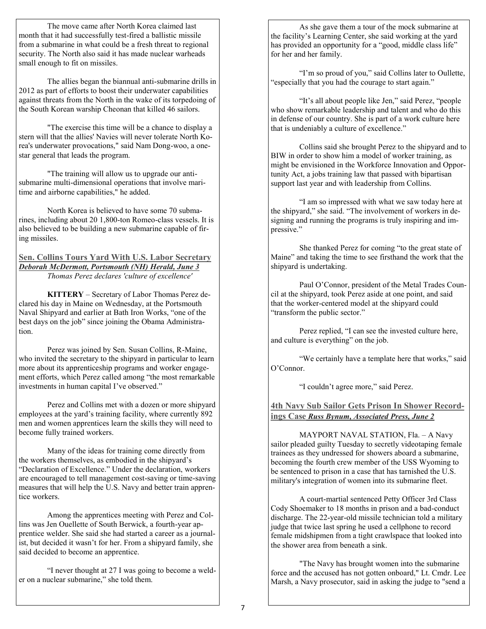The move came after North Korea claimed last month that it had successfully test-fired a ballistic missile from a submarine in what could be a fresh threat to regional security. The North also said it has made nuclear warheads small enough to fit on missiles.

The allies began the biannual anti-submarine drills in 2012 as part of efforts to boost their underwater capabilities against threats from the North in the wake of its torpedoing of the South Korean warship Cheonan that killed 46 sailors.

"The exercise this time will be a chance to display a stern will that the allies' Navies will never tolerate North Korea's underwater provocations," said Nam Dong-woo, a onestar general that leads the program.

"The training will allow us to upgrade our antisubmarine multi-dimensional operations that involve maritime and airborne capabilities," he added.

North Korea is believed to have some 70 submarines, including about 20 1,800-ton Romeo-class vessels. It is also believed to be building a new submarine capable of firing missiles.

**Sen. Collins Tours Yard With U.S. Labor Secretary**  *Deborah McDermott, Portsmouth (NH) Herald, June 3 Thomas Perez declares 'culture of excellence'*

**KITTERY** – Secretary of Labor Thomas Perez declared his day in Maine on Wednesday, at the Portsmouth Naval Shipyard and earlier at Bath Iron Works, "one of the best days on the job" since joining the Obama Administration.

Perez was joined by Sen. Susan Collins, R-Maine, who invited the secretary to the shipyard in particular to learn more about its apprenticeship programs and worker engagement efforts, which Perez called among "the most remarkable investments in human capital I've observed."

Perez and Collins met with a dozen or more shipyard employees at the yard's training facility, where currently 892 men and women apprentices learn the skills they will need to become fully trained workers.

Many of the ideas for training come directly from the workers themselves, as embodied in the shipyard's "Declaration of Excellence." Under the declaration, workers are encouraged to tell management cost-saving or time-saving measures that will help the U.S. Navy and better train apprentice workers.

Among the apprentices meeting with Perez and Collins was Jen Ouellette of South Berwick, a fourth-year apprentice welder. She said she had started a career as a journalist, but decided it wasn't for her. From a shipyard family, she said decided to become an apprentice.

―I never thought at 27 I was going to become a welder on a nuclear submarine," she told them.

As she gave them a tour of the mock submarine at the facility's Learning Center, she said working at the yard has provided an opportunity for a "good, middle class life" for her and her family.

"I'm so proud of you," said Collins later to Oullette, "especially that you had the courage to start again."

"It's all about people like Jen," said Perez, "people" who show remarkable leadership and talent and who do this in defense of our country. She is part of a work culture here that is undeniably a culture of excellence."

Collins said she brought Perez to the shipyard and to BIW in order to show him a model of worker training, as might be envisioned in the Workforce Innovation and Opportunity Act, a jobs training law that passed with bipartisan support last year and with leadership from Collins.

"I am so impressed with what we saw today here at the shipyard," she said. "The involvement of workers in designing and running the programs is truly inspiring and impressive."

She thanked Perez for coming "to the great state of Maine" and taking the time to see firsthand the work that the shipyard is undertaking.

Paul O'Connor, president of the Metal Trades Council at the shipyard, took Perez aside at one point, and said that the worker-centered model at the shipyard could "transform the public sector."

Perez replied, "I can see the invested culture here, and culture is everything" on the job.

"We certainly have a template here that works," said O'Connor.

"I couldn't agree more," said Perez.

# **4th Navy Sub Sailor Gets Prison In Shower Recordings Case** *Russ Bynum, Associated Press, June 2*

MAYPORT NAVAL STATION, Fla. – A Navy sailor pleaded guilty Tuesday to secretly videotaping female trainees as they undressed for showers aboard a submarine, becoming the fourth crew member of the USS Wyoming to be sentenced to prison in a case that has tarnished the U.S. military's integration of women into its submarine fleet.

A court-martial sentenced Petty Officer 3rd Class Cody Shoemaker to 18 months in prison and a bad-conduct discharge. The 22-year-old missile technician told a military judge that twice last spring he used a cellphone to record female midshipmen from a tight crawlspace that looked into the shower area from beneath a sink.

"The Navy has brought women into the submarine force and the accused has not gotten onboard," Lt. Cmdr. Lee Marsh, a Navy prosecutor, said in asking the judge to "send a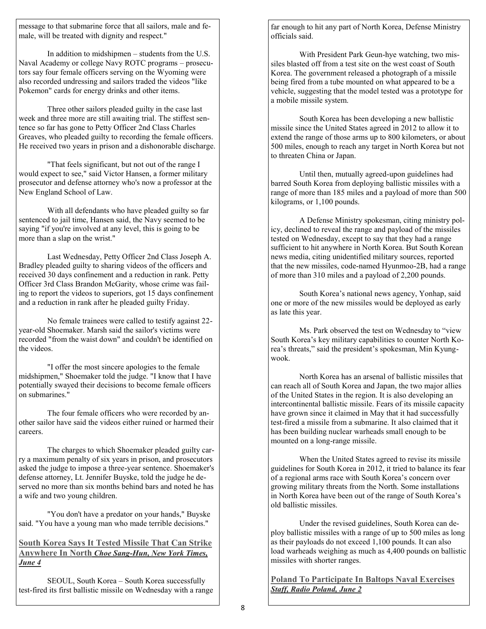message to that submarine force that all sailors, male and female, will be treated with dignity and respect."

In addition to midshipmen – students from the U.S. Naval Academy or college Navy ROTC programs – prosecutors say four female officers serving on the Wyoming were also recorded undressing and sailors traded the videos "like Pokemon" cards for energy drinks and other items.

Three other sailors pleaded guilty in the case last week and three more are still awaiting trial. The stiffest sentence so far has gone to Petty Officer 2nd Class Charles Greaves, who pleaded guilty to recording the female officers. He received two years in prison and a dishonorable discharge.

"That feels significant, but not out of the range I would expect to see," said Victor Hansen, a former military prosecutor and defense attorney who's now a professor at the New England School of Law.

With all defendants who have pleaded guilty so far sentenced to jail time, Hansen said, the Navy seemed to be saying "if you're involved at any level, this is going to be more than a slap on the wrist."

Last Wednesday, Petty Officer 2nd Class Joseph A. Bradley pleaded guilty to sharing videos of the officers and received 30 days confinement and a reduction in rank. Petty Officer 3rd Class Brandon McGarity, whose crime was failing to report the videos to superiors, got 15 days confinement and a reduction in rank after he pleaded guilty Friday.

No female trainees were called to testify against 22 year-old Shoemaker. Marsh said the sailor's victims were recorded "from the waist down" and couldn't be identified on the videos.

"I offer the most sincere apologies to the female midshipmen," Shoemaker told the judge. "I know that I have potentially swayed their decisions to become female officers on submarines."

The four female officers who were recorded by another sailor have said the videos either ruined or harmed their careers.

The charges to which Shoemaker pleaded guilty carry a maximum penalty of six years in prison, and prosecutors asked the judge to impose a three-year sentence. Shoemaker's defense attorney, Lt. Jennifer Buyske, told the judge he deserved no more than six months behind bars and noted he has a wife and two young children.

"You don't have a predator on your hands," Buyske said. "You have a young man who made terrible decisions."

**South Korea Says It Tested Missile That Can Strike Anywhere In North** *Choe Sang-Hun, New York Times, June 4*

SEOUL, South Korea – South Korea successfully test-fired its first ballistic missile on Wednesday with a range

far enough to hit any part of North Korea, Defense Ministry officials said.

With President Park Geun-hye watching, two missiles blasted off from a test site on the west coast of South Korea. The government released a photograph of a missile being fired from a tube mounted on what appeared to be a vehicle, suggesting that the model tested was a prototype for a mobile missile system.

South Korea has been developing a new ballistic missile since the United States agreed in 2012 to allow it to extend the range of those arms up to 800 kilometers, or about 500 miles, enough to reach any target in North Korea but not to threaten China or Japan.

Until then, mutually agreed-upon guidelines had barred South Korea from deploying ballistic missiles with a range of more than 185 miles and a payload of more than 500 kilograms, or 1,100 pounds.

A Defense Ministry spokesman, citing ministry policy, declined to reveal the range and payload of the missiles tested on Wednesday, except to say that they had a range sufficient to hit anywhere in North Korea. But South Korean news media, citing unidentified military sources, reported that the new missiles, code-named Hyunmoo-2B, had a range of more than 310 miles and a payload of 2,200 pounds.

South Korea's national news agency, Yonhap, said one or more of the new missiles would be deployed as early as late this year.

Ms. Park observed the test on Wednesday to "view" South Korea's key military capabilities to counter North Korea's threats," said the president's spokesman, Min Kyungwook.

North Korea has an arsenal of ballistic missiles that can reach all of South Korea and Japan, the two major allies of the United States in the region. It is also developing an intercontinental ballistic missile. Fears of its missile capacity have grown since it claimed in May that it had successfully test-fired a missile from a submarine. It also claimed that it has been building nuclear warheads small enough to be mounted on a long-range missile.

When the United States agreed to revise its missile guidelines for South Korea in 2012, it tried to balance its fear of a regional arms race with South Korea's concern over growing military threats from the North. Some installations in North Korea have been out of the range of South Korea's old ballistic missiles.

Under the revised guidelines, South Korea can deploy ballistic missiles with a range of up to 500 miles as long as their payloads do not exceed 1,100 pounds. It can also load warheads weighing as much as 4,400 pounds on ballistic missiles with shorter ranges.

**Poland To Participate In Baltops Naval Exercises** *Staff, Radio Poland, June 2*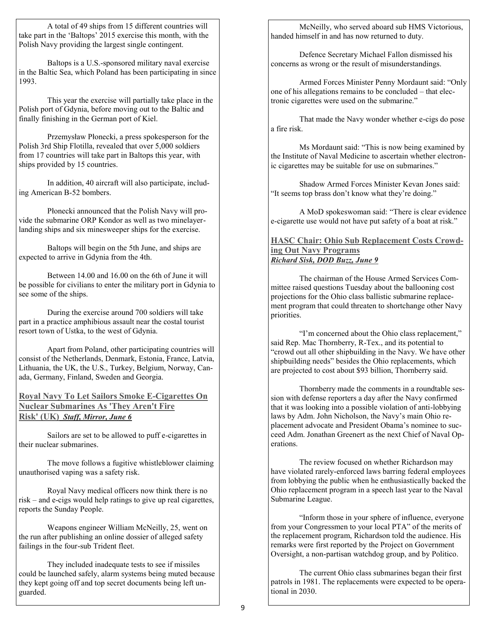A total of 49 ships from 15 different countries will take part in the 'Baltops' 2015 exercise this month, with the Polish Navy providing the largest single contingent.

Baltops is a U.S.-sponsored military naval exercise in the Baltic Sea, which Poland has been participating in since 1993.

This year the exercise will partially take place in the Polish port of Gdynia, before moving out to the Baltic and finally finishing in the German port of Kiel.

Przemysław Płonecki, a press spokesperson for the Polish 3rd Ship Flotilla, revealed that over 5,000 soldiers from 17 countries will take part in Baltops this year, with ships provided by 15 countries.

In addition, 40 aircraft will also participate, including American B-52 bombers.

Płonecki announced that the Polish Navy will provide the submarine ORP Kondor as well as two minelayerlanding ships and six minesweeper ships for the exercise.

Baltops will begin on the 5th June, and ships are expected to arrive in Gdynia from the 4th.

Between 14.00 and 16.00 on the 6th of June it will be possible for civilians to enter the military port in Gdynia to see some of the ships.

During the exercise around 700 soldiers will take part in a practice amphibious assault near the costal tourist resort town of Ustka, to the west of Gdynia.

Apart from Poland, other participating countries will consist of the Netherlands, Denmark, Estonia, France, Latvia, Lithuania, the UK, the U.S., Turkey, Belgium, Norway, Canada, Germany, Finland, Sweden and Georgia.

**Royal Navy To Let Sailors Smoke E-Cigarettes On Nuclear Submarines As 'They Aren't Fire Risk' (UK)** *Staff, Mirror, June 6*

Sailors are set to be allowed to puff e-cigarettes in their nuclear submarines.

The move follows a fugitive whistleblower claiming unauthorised vaping was a safety risk.

Royal Navy medical officers now think there is no risk – and e-cigs would help ratings to give up real cigarettes, reports the Sunday People.

Weapons engineer William McNeilly, 25, went on the run after publishing an online dossier of alleged safety failings in the four-sub Trident fleet.

They included inadequate tests to see if missiles could be launched safely, alarm systems being muted because they kept going off and top secret documents being left unguarded.

McNeilly, who served aboard sub HMS Victorious, handed himself in and has now returned to duty.

Defence Secretary Michael Fallon dismissed his concerns as wrong or the result of misunderstandings.

Armed Forces Minister Penny Mordaunt said: "Only one of his allegations remains to be concluded – that electronic cigarettes were used on the submarine."

That made the Navy wonder whether e-cigs do pose a fire risk.

Ms Mordaunt said: "This is now being examined by the Institute of Naval Medicine to ascertain whether electronic cigarettes may be suitable for use on submarines."

Shadow Armed Forces Minister Kevan Jones said: "It seems top brass don't know what they're doing."

A MoD spokeswoman said: "There is clear evidence e-cigarette use would not have put safety of a boat at risk."

**HASC Chair: Ohio Sub Replacement Costs Crowding Out Navy Programs** *Richard Sisk, DOD Buzz, June 9*

The chairman of the House Armed Services Committee raised questions Tuesday about the ballooning cost projections for the Ohio class ballistic submarine replacement program that could threaten to shortchange other Navy priorities.

"I'm concerned about the Ohio class replacement," said Rep. Mac Thornberry, R-Tex., and its potential to "crowd out all other shipbuilding in the Navy. We have other shipbuilding needs" besides the Ohio replacements, which are projected to cost about \$93 billion, Thornberry said.

Thornberry made the comments in a roundtable session with defense reporters a day after the Navy confirmed that it was looking into a possible violation of anti-lobbying laws by Adm. John Nicholson, the Navy's main Ohio replacement advocate and President Obama's nominee to succeed Adm. Jonathan Greenert as the next Chief of Naval Operations.

The review focused on whether Richardson may have violated rarely-enforced laws barring federal employees from lobbying the public when he enthusiastically backed the Ohio replacement program in a speech last year to the Naval Submarine League.

―Inform those in your sphere of influence, everyone from your Congressmen to your local PTA" of the merits of the replacement program, Richardson told the audience. His remarks were first reported by the Project on Government Oversight, a non-partisan watchdog group, and by Politico.

The current Ohio class submarines began their first patrols in 1981. The replacements were expected to be operational in 2030.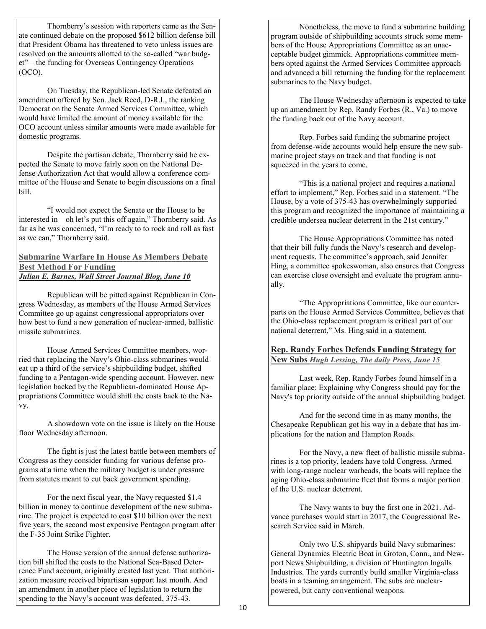Thornberry's session with reporters came as the Senate continued debate on the proposed \$612 billion defense bill that President Obama has threatened to veto unless issues are resolved on the amounts allotted to the so-called "war budget" – the funding for Overseas Contingency Operations (OCO).

On Tuesday, the Republican-led Senate defeated an amendment offered by Sen. Jack Reed, D-R.I., the ranking Democrat on the Senate Armed Services Committee, which would have limited the amount of money available for the OCO account unless similar amounts were made available for domestic programs.

Despite the partisan debate, Thornberry said he expected the Senate to move fairly soon on the National Defense Authorization Act that would allow a conference committee of the House and Senate to begin discussions on a final bill.

―I would not expect the Senate or the House to be interested in  $-$  oh let's put this off again," Thornberry said. As far as he was concerned, "I'm ready to to rock and roll as fast as we can," Thornberry said.

### **Submarine Warfare In House As Members Debate Best Method For Funding** *Julian E. Barnes, Wall Street Journal Blog, June 10*

Republican will be pitted against Republican in Congress Wednesday, as members of the House Armed Services Committee go up against congressional appropriators over how best to fund a new generation of nuclear-armed, ballistic missile submarines.

House Armed Services Committee members, worried that replacing the Navy's Ohio-class submarines would eat up a third of the service's shipbuilding budget, shifted funding to a Pentagon-wide spending account. However, new legislation backed by the Republican-dominated House Appropriations Committee would shift the costs back to the Navy.

A showdown vote on the issue is likely on the House floor Wednesday afternoon.

The fight is just the latest battle between members of Congress as they consider funding for various defense programs at a time when the military budget is under pressure from statutes meant to cut back government spending.

For the next fiscal year, the Navy requested \$1.4 billion in money to continue development of the new submarine. The project is expected to cost \$10 billion over the next five years, the second most expensive Pentagon program after the F-35 Joint Strike Fighter.

The House version of the annual defense authorization bill shifted the costs to the National Sea-Based Deterrence Fund account, originally created last year. That authorization measure received bipartisan support last month. And an amendment in another piece of legislation to return the spending to the Navy's account was defeated, 375-43.

Nonetheless, the move to fund a submarine building program outside of shipbuilding accounts struck some members of the House Appropriations Committee as an unacceptable budget gimmick. Appropriations committee members opted against the Armed Services Committee approach and advanced a bill returning the funding for the replacement submarines to the Navy budget.

The House Wednesday afternoon is expected to take up an amendment by Rep. Randy Forbes (R., Va.) to move the funding back out of the Navy account.

Rep. Forbes said funding the submarine project from defense-wide accounts would help ensure the new submarine project stays on track and that funding is not squeezed in the years to come.

―This is a national project and requires a national effort to implement," Rep. Forbes said in a statement. "The House, by a vote of 375-43 has overwhelmingly supported this program and recognized the importance of maintaining a credible undersea nuclear deterrent in the 21st century."

The House Appropriations Committee has noted that their bill fully funds the Navy's research and development requests. The committee's approach, said Jennifer Hing, a committee spokeswoman, also ensures that Congress can exercise close oversight and evaluate the program annually.

―The Appropriations Committee, like our counterparts on the House Armed Services Committee, believes that the Ohio-class replacement program is critical part of our national deterrent," Ms. Hing said in a statement.

# **Rep. Randy Forbes Defends Funding Strategy for New Subs** *Hugh Lessing, The daily Press, June 15*

Last week, Rep. Randy Forbes found himself in a familiar place: Explaining why Congress should pay for the Navy's top priority outside of the annual shipbuilding budget.

And for the second time in as many months, the Chesapeake Republican got his way in a debate that has implications for the nation and Hampton Roads.

For the Navy, a new fleet of ballistic missile submarines is a top priority, leaders have told Congress. Armed with long-range nuclear warheads, the boats will replace the aging Ohio-class submarine fleet that forms a major portion of the U.S. nuclear deterrent.

The Navy wants to buy the first one in 2021. Advance purchases would start in 2017, the Congressional Research Service said in March.

Only two U.S. shipyards build Navy submarines: General Dynamics Electric Boat in Groton, Conn., and Newport News Shipbuilding, a division of Huntington Ingalls Industries. The yards currently build smaller Virginia-class boats in a teaming arrangement. The subs are nuclearpowered, but carry conventional weapons.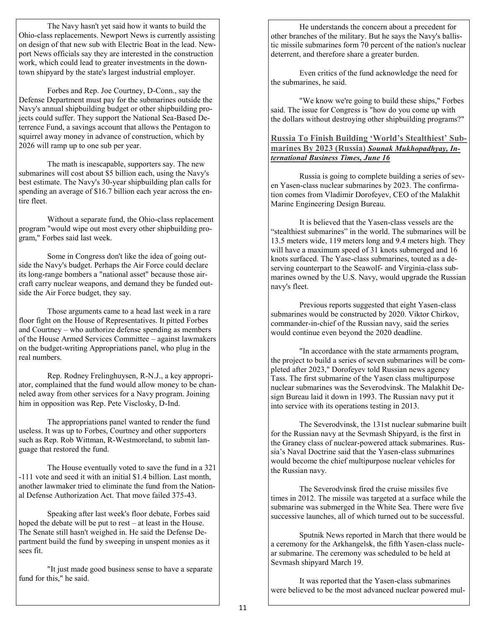The Navy hasn't yet said how it wants to build the Ohio-class replacements. Newport News is currently assisting on design of that new sub with Electric Boat in the lead. Newport News officials say they are interested in the construction work, which could lead to greater investments in the downtown shipyard by the state's largest industrial employer.

Forbes and Rep. Joe Courtney, D-Conn., say the Defense Department must pay for the submarines outside the Navy's annual shipbuilding budget or other shipbuilding projects could suffer. They support the National Sea-Based Deterrence Fund, a savings account that allows the Pentagon to squirrel away money in advance of construction, which by 2026 will ramp up to one sub per year.

The math is inescapable, supporters say. The new submarines will cost about \$5 billion each, using the Navy's best estimate. The Navy's 30-year shipbuilding plan calls for spending an average of \$16.7 billion each year across the entire fleet.

Without a separate fund, the Ohio-class replacement program "would wipe out most every other shipbuilding program," Forbes said last week.

Some in Congress don't like the idea of going outside the Navy's budget. Perhaps the Air Force could declare its long-range bombers a "national asset" because those aircraft carry nuclear weapons, and demand they be funded outside the Air Force budget, they say.

Those arguments came to a head last week in a rare floor fight on the House of Representatives. It pitted Forbes and Courtney – who authorize defense spending as members of the House Armed Services Committee – against lawmakers on the budget-writing Appropriations panel, who plug in the real numbers.

Rep. Rodney Frelinghuysen, R-N.J., a key appropriator, complained that the fund would allow money to be channeled away from other services for a Navy program. Joining him in opposition was Rep. Pete Visclosky, D-Ind.

The appropriations panel wanted to render the fund useless. It was up to Forbes, Courtney and other supporters such as Rep. Rob Wittman, R-Westmoreland, to submit language that restored the fund.

The House eventually voted to save the fund in a 321 -111 vote and seed it with an initial \$1.4 billion. Last month, another lawmaker tried to eliminate the fund from the National Defense Authorization Act. That move failed 375-43.

Speaking after last week's floor debate, Forbes said hoped the debate will be put to rest – at least in the House. The Senate still hasn't weighed in. He said the Defense Department build the fund by sweeping in unspent monies as it sees fit.

"It just made good business sense to have a separate fund for this," he said.

He understands the concern about a precedent for other branches of the military. But he says the Navy's ballistic missile submarines form 70 percent of the nation's nuclear deterrent, and therefore share a greater burden.

Even critics of the fund acknowledge the need for the submarines, he said.

"We know we're going to build these ships," Forbes said. The issue for Congress is "how do you come up with the dollars without destroying other shipbuilding programs?"

# **Russia To Finish Building 'World's Stealthiest' Submarines By 2023 (Russia)** *Sounak Mukhopadhyay, International Business Times, June 16*

Russia is going to complete building a series of seven Yasen-class nuclear submarines by 2023. The confirmation comes from Vladimir Dorofeyev, CEO of the Malakhit Marine Engineering Design Bureau.

It is believed that the Yasen-class vessels are the "stealthiest submarines" in the world. The submarines will be 13.5 meters wide, 119 meters long and 9.4 meters high. They will have a maximum speed of 31 knots submerged and 16 knots surfaced. The Yase-class submarines, touted as a deserving counterpart to the Seawolf- and Virginia-class submarines owned by the U.S. Navy, would upgrade the Russian navy's fleet.

Previous reports suggested that eight Yasen-class submarines would be constructed by 2020. Viktor Chirkov, commander-in-chief of the Russian navy, said the series would continue even beyond the 2020 deadline.

"In accordance with the state armaments program, the project to build a series of seven submarines will be completed after 2023," Dorofeyev told Russian news agency Tass. The first submarine of the Yasen class multipurpose nuclear submarines was the Severodvinsk. The Malakhit Design Bureau laid it down in 1993. The Russian navy put it into service with its operations testing in 2013.

The Severodvinsk, the 131st nuclear submarine built for the Russian navy at the Sevmash Shipyard, is the first in the Graney class of nuclear-powered attack submarines. Russia's Naval Doctrine said that the Yasen-class submarines would become the chief multipurpose nuclear vehicles for the Russian navy.

The Severodvinsk fired the cruise missiles five times in 2012. The missile was targeted at a surface while the submarine was submerged in the White Sea. There were five successive launches, all of which turned out to be successful.

Sputnik News reported in March that there would be a ceremony for the Arkhangelsk, the fifth Yasen-class nuclear submarine. The ceremony was scheduled to be held at Sevmash shipyard March 19.

It was reported that the Yasen-class submarines were believed to be the most advanced nuclear powered mul-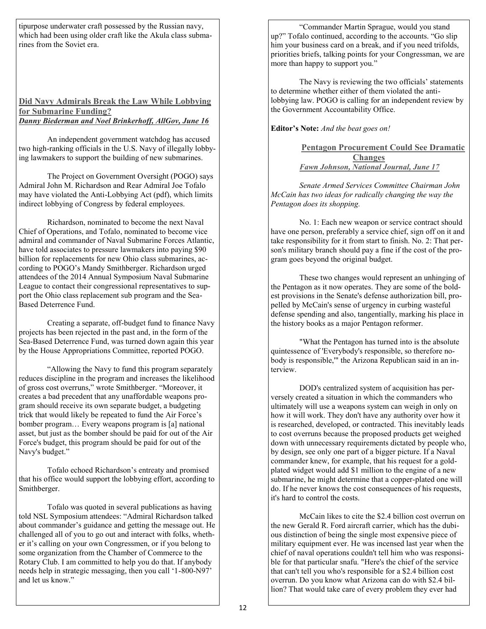tipurpose underwater craft possessed by the Russian navy, which had been using older craft like the Akula class submarines from the Soviet era.

### **Did Navy Admirals Break the Law While Lobbying for Submarine Funding?** *Danny Biederman and Noel Brinkerhoff, AllGov, June 16*

An independent government watchdog has accused two high-ranking officials in the U.S. Navy of illegally lobbying lawmakers to support the building of new submarines.

The Project on Government Oversight (POGO) says Admiral John M. Richardson and Rear Admiral Joe Tofalo may have violated the Anti-Lobbying Act (pdf), which limits indirect lobbying of Congress by federal employees.

Richardson, nominated to become the next Naval Chief of Operations, and Tofalo, nominated to become vice admiral and commander of Naval Submarine Forces Atlantic, have told associates to pressure lawmakers into paying \$90 billion for replacements for new Ohio class submarines, according to POGO's Mandy Smithberger. Richardson urged attendees of the 2014 Annual Symposium Naval Submarine League to contact their congressional representatives to support the Ohio class replacement sub program and the Sea-Based Deterrence Fund.

Creating a separate, off-budget fund to finance Navy projects has been rejected in the past and, in the form of the Sea-Based Deterrence Fund, was turned down again this year by the House Appropriations Committee, reported POGO.

―Allowing the Navy to fund this program separately reduces discipline in the program and increases the likelihood of gross cost overruns," wrote Smithberger. "Moreover, it creates a bad precedent that any unaffordable weapons program should receive its own separate budget, a budgeting trick that would likely be repeated to fund the Air Force's bomber program… Every weapons program is [a] national asset, but just as the bomber should be paid for out of the Air Force's budget, this program should be paid for out of the Navy's budget."

Tofalo echoed Richardson's entreaty and promised that his office would support the lobbying effort, according to Smithberger.

Tofalo was quoted in several publications as having told NSL Symposium attendees: "Admiral Richardson talked about commander's guidance and getting the message out. He challenged all of you to go out and interact with folks, whether it's calling on your own Congressmen, or if you belong to some organization from the Chamber of Commerce to the Rotary Club. I am committed to help you do that. If anybody needs help in strategic messaging, then you call ‗1-800-N97' and let us know."

―Commander Martin Sprague, would you stand up?" Tofalo continued, according to the accounts. "Go slip" him your business card on a break, and if you need trifolds, priorities briefs, talking points for your Congressman, we are more than happy to support you."

The Navy is reviewing the two officials' statements to determine whether either of them violated the antilobbying law. POGO is calling for an independent review by the Government Accountability Office.

**Editor's Note:** *And the beat goes on!*

**[Pentagon Procurement Could See Dramatic](file:///C:/Users/george/Desktop/uswn%20daily%20news/Jul%2015%20SubVets%20Newsletter.docx#Underwater#Underwater)  [Changes](file:///C:/Users/george/Desktop/uswn%20daily%20news/Jul%2015%20SubVets%20Newsletter.docx#Underwater#Underwater)** *[Fawn Johnson, National Journal, June 17](file:///C:/Users/george/Desktop/uswn%20daily%20news/Jul%2015%20SubVets%20Newsletter.docx#Underwater#Underwater)*

*Senate Armed Services Committee Chairman John McCain has two ideas for radically changing the way the Pentagon does its shopping.*

No. 1: Each new weapon or service contract should have one person, preferably a service chief, sign off on it and take responsibility for it from start to finish. No. 2: That person's military branch should pay a fine if the cost of the program goes beyond the original budget.

These two changes would represent an unhinging of the Pentagon as it now operates. They are some of the boldest provisions in the Senate's defense authorization bill, propelled by McCain's sense of urgency in curbing wasteful defense spending and also, tangentially, marking his place in the history books as a major Pentagon reformer.

"What the Pentagon has turned into is the absolute quintessence of 'Everybody's responsible, so therefore nobody is responsible,'" the Arizona Republican said in an interview.

DOD's centralized system of acquisition has perversely created a situation in which the commanders who ultimately will use a weapons system can weigh in only on how it will work. They don't have any authority over how it is researched, developed, or contracted. This inevitably leads to cost overruns because the proposed products get weighed down with unnecessary requirements dictated by people who, by design, see only one part of a bigger picture. If a Naval commander knew, for example, that his request for a goldplated widget would add \$1 million to the engine of a new submarine, he might determine that a copper-plated one will do. If he never knows the cost consequences of his requests, it's hard to control the costs.

McCain likes to cite the \$2.4 billion cost overrun on the new Gerald R. Ford aircraft carrier, which has the dubious distinction of being the single most expensive piece of military equipment ever. He was incensed last year when the chief of naval operations couldn't tell him who was responsible for that particular snafu. "Here's the chief of the service that can't tell you who's responsible for a \$2.4 billion cost overrun. Do you know what Arizona can do with \$2.4 billion? That would take care of every problem they ever had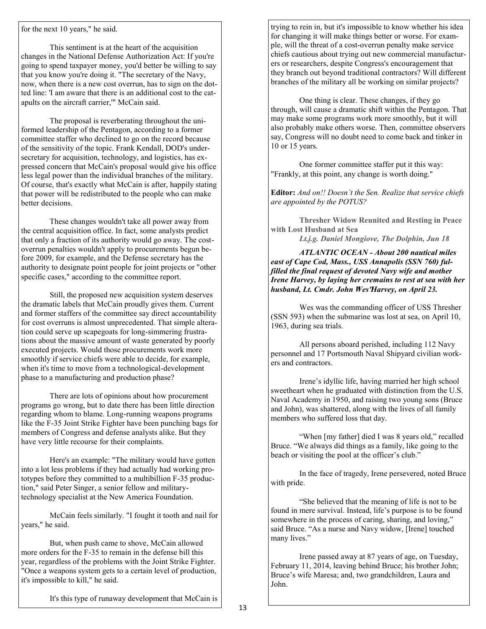for the next 10 years," he said.

This sentiment is at the heart of the acquisition changes in the National Defense Authorization Act: If you're going to spend taxpayer money, you'd better be willing to say that you know you're doing it. "The secretary of the Navy, now, when there is a new cost overrun, has to sign on the dotted line: 'I am aware that there is an additional cost to the catapults on the aircraft carrier,'" McCain said.

The proposal is reverberating throughout the uniformed leadership of the Pentagon, according to a former committee staffer who declined to go on the record because of the sensitivity of the topic. Frank Kendall, DOD's undersecretary for acquisition, technology, and logistics, has expressed concern that McCain's proposal would give his office less legal power than the individual branches of the military. Of course, that's exactly what McCain is after, happily stating that power will be redistributed to the people who can make better decisions.

These changes wouldn't take all power away from the central acquisition office. In fact, some analysts predict that only a fraction of its authority would go away. The costoverrun penalties wouldn't apply to procurements begun before 2009, for example, and the Defense secretary has the authority to designate point people for joint projects or "other specific cases," according to the committee report.

Still, the proposed new acquisition system deserves the dramatic labels that McCain proudly gives them. Current and former staffers of the committee say direct accountability for cost overruns is almost unprecedented. That simple alteration could serve up scapegoats for long-simmering frustrations about the massive amount of waste generated by poorly executed projects. Would those procurements work more smoothly if service chiefs were able to decide, for example, when it's time to move from a technological-development phase to a manufacturing and production phase?

There are lots of opinions about how procurement programs go wrong, but to date there has been little direction regarding whom to blame. Long-running weapons programs like the F-35 Joint Strike Fighter have been punching bags for members of Congress and defense analysts alike. But they have very little recourse for their complaints.

Here's an example: "The military would have gotten into a lot less problems if they had actually had working prototypes before they committed to a multibillion F-35 production," said Peter Singer, a senior fellow and militarytechnology specialist at the New America Foundation.

McCain feels similarly. "I fought it tooth and nail for years," he said.

But, when push came to shove, McCain allowed more orders for the F-35 to remain in the defense bill this year, regardless of the problems with the Joint Strike Fighter. "Once a weapons system gets to a certain level of production, it's impossible to kill," he said.

trying to rein in, but it's impossible to know whether his idea for changing it will make things better or worse. For example, will the threat of a cost-overrun penalty make service chiefs cautious about trying out new commercial manufacturers or researchers, despite Congress's encouragement that they branch out beyond traditional contractors? Will different branches of the military all be working on similar projects?

One thing is clear. These changes, if they go through, will cause a dramatic shift within the Pentagon. That may make some programs work more smoothly, but it will also probably make others worse. Then, committee observers say, Congress will no doubt need to come back and tinker in 10 or 15 years.

One former committee staffer put it this way: "Frankly, at this point, any change is worth doing."

**Editor:** *And on!! Doesn't the Sen. Realize that service chiefs are appointed by the POTUS?*

**Thresher Widow Reunited and Resting in Peace with Lost Husband at Sea** *Lt.j.g. Daniel Mongiove, The Dolphin, Jun 18*

*ATLANTIC OCEAN - About 200 nautical miles east of Cape Cod, Mass., USS Annapolis (SSN 760) fulfilled the final request of devoted Navy wife and mother Irene Harvey, by laying her cremains to rest at sea with her husband, Lt. Cmdr. John "Wes" Harvey, on April 23.*

Wes was the commanding officer of USS Thresher (SSN 593) when the submarine was lost at sea, on April 10, 1963, during sea trials.

All persons aboard perished, including 112 Navy personnel and 17 Portsmouth Naval Shipyard civilian workers and contractors.

Irene's idyllic life, having married her high school sweetheart when he graduated with distinction from the U.S. Naval Academy in 1950, and raising two young sons (Bruce and John), was shattered, along with the lives of all family members who suffered loss that day.

"When [my father] died I was 8 years old," recalled Bruce. "We always did things as a family, like going to the beach or visiting the pool at the officer's club."

In the face of tragedy, Irene persevered, noted Bruce with pride.

―She believed that the meaning of life is not to be found in mere survival. Instead, life's purpose is to be found somewhere in the process of caring, sharing, and loving," said Bruce. "As a nurse and Navy widow, [Irene] touched many lives."

Irene passed away at 87 years of age, on Tuesday, February 11, 2014, leaving behind Bruce; his brother John; Bruce's wife Maresa; and, two grandchildren, Laura and John.

It's this type of runaway development that McCain is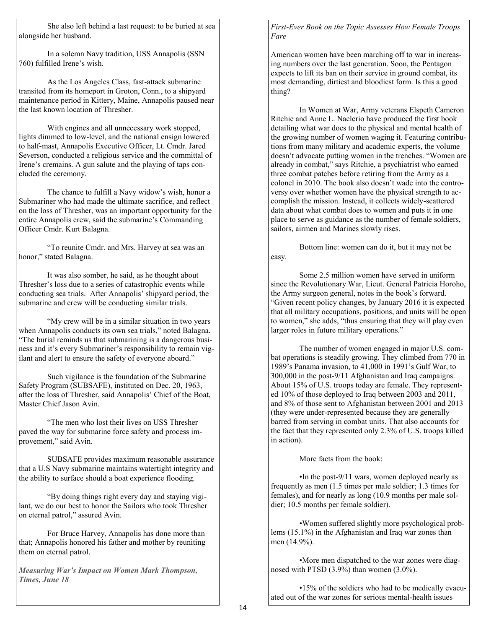She also left behind a last request: to be buried at sea alongside her husband.

In a solemn Navy tradition, USS Annapolis (SSN 760) fulfilled Irene's wish.

As the Los Angeles Class, fast-attack submarine transited from its homeport in Groton, Conn., to a shipyard maintenance period in Kittery, Maine, Annapolis paused near the last known location of Thresher.

With engines and all unnecessary work stopped, lights dimmed to low-level, and the national ensign lowered to half-mast, Annapolis Executive Officer, Lt. Cmdr. Jared Severson, conducted a religious service and the committal of Irene's cremains. A gun salute and the playing of taps concluded the ceremony.

The chance to fulfill a Navy widow's wish, honor a Submariner who had made the ultimate sacrifice, and reflect on the loss of Thresher, was an important opportunity for the entire Annapolis crew, said the submarine's Commanding Officer Cmdr. Kurt Balagna.

―To reunite Cmdr. and Mrs. Harvey at sea was an honor," stated Balagna.

It was also somber, he said, as he thought about Thresher's loss due to a series of catastrophic events while conducting sea trials. After Annapolis' shipyard period, the submarine and crew will be conducting similar trials.

"My crew will be in a similar situation in two years when Annapolis conducts its own sea trials," noted Balagna. ―The burial reminds us that submarining is a dangerous business and it's every Submariner's responsibility to remain vigilant and alert to ensure the safety of everyone aboard."

Such vigilance is the foundation of the Submarine Safety Program (SUBSAFE), instituted on Dec. 20, 1963, after the loss of Thresher, said Annapolis' Chief of the Boat, Master Chief Jason Avin.

―The men who lost their lives on USS Thresher paved the way for submarine force safety and process improvement," said Avin.

SUBSAFE provides maximum reasonable assurance that a U.S Navy submarine maintains watertight integrity and the ability to surface should a boat experience flooding.

―By doing things right every day and staying vigilant, we do our best to honor the Sailors who took Thresher on eternal patrol," assured Avin.

For Bruce Harvey, Annapolis has done more than that; Annapolis honored his father and mother by reuniting them on eternal patrol.

*Measuring War's Impact on Women Mark Thompson, Times, June 18*

*First-Ever Book on the Topic Assesses How Female Troops Fare* 

American women have been marching off to war in increasing numbers over the last generation. Soon, the Pentagon expects to lift its ban on their service in ground combat, its most demanding, dirtiest and bloodiest form. Is this a good thing?

In Women at War, Army veterans Elspeth Cameron Ritchie and Anne L. Naclerio have produced the first book detailing what war does to the physical and mental health of the growing number of women waging it. Featuring contributions from many military and academic experts, the volume doesn't advocate putting women in the trenches. "Women are already in combat," says Ritchie, a psychiatrist who earned three combat patches before retiring from the Army as a colonel in 2010. The book also doesn't wade into the controversy over whether women have the physical strength to accomplish the mission. Instead, it collects widely-scattered data about what combat does to women and puts it in one place to serve as guidance as the number of female soldiers, sailors, airmen and Marines slowly rises.

Bottom line: women can do it, but it may not be easy.

Some 2.5 million women have served in uniform since the Revolutionary War, Lieut. General Patricia Horoho, the Army surgeon general, notes in the book's forward. ―Given recent policy changes, by January 2016 it is expected that all military occupations, positions, and units will be open to women," she adds, "thus ensuring that they will play even larger roles in future military operations."

The number of women engaged in major U.S. combat operations is steadily growing. They climbed from 770 in 1989's Panama invasion, to 41,000 in 1991's Gulf War, to 300,000 in the post-9/11 Afghanistan and Iraq campaigns. About 15% of U.S. troops today are female. They represented 10% of those deployed to Iraq between 2003 and 2011, and 8% of those sent to Afghanistan between 2001 and 2013 (they were under-represented because they are generally barred from serving in combat units. That also accounts for the fact that they represented only 2.3% of U.S. troops killed in action).

More facts from the book:

•In the post-9/11 wars, women deployed nearly as frequently as men (1.5 times per male soldier; 1.3 times for females), and for nearly as long (10.9 months per male soldier; 10.5 months per female soldier).

•Women suffered slightly more psychological problems (15.1%) in the Afghanistan and Iraq war zones than men (14.9%).

•More men dispatched to the war zones were diagnosed with PTSD (3.9%) than women (3.0%).

•15% of the soldiers who had to be medically evacuated out of the war zones for serious mental-health issues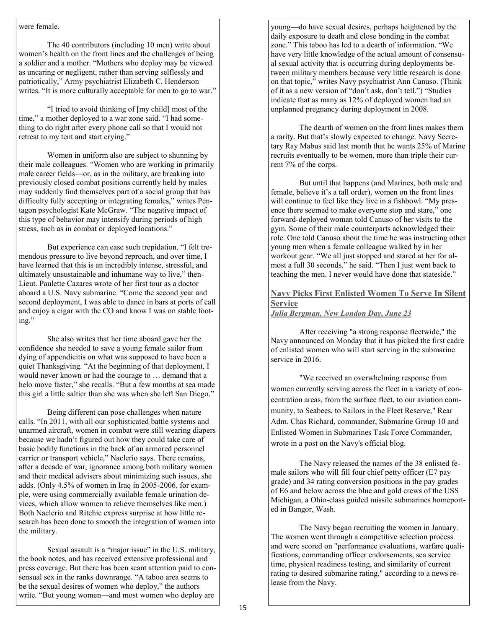### were female.

The 40 contributors (including 10 men) write about women's health on the front lines and the challenges of being a soldier and a mother. "Mothers who deploy may be viewed as uncaring or negligent, rather than serving selflessly and patriotically," Army psychiatrist Elizabeth C. Henderson writes. "It is more culturally acceptable for men to go to war."

―I tried to avoid thinking of [my child] most of the time," a mother deployed to a war zone said. "I had something to do right after every phone call so that I would not retreat to my tent and start crying."

Women in uniform also are subject to shunning by their male colleagues. "Women who are working in primarily male career fields—or, as in the military, are breaking into previously closed combat positions currently held by males may suddenly find themselves part of a social group that has difficulty fully accepting or integrating females," writes Pentagon psychologist Kate McGraw. "The negative impact of this type of behavior may intensify during periods of high stress, such as in combat or deployed locations."

But experience can ease such trepidation. "I felt tremendous pressure to live beyond reproach, and over time, I have learned that this is an incredibly intense, stressful, and ultimately unsustainable and inhumane way to live," then-Lieut. Paulette Cazares wrote of her first tour as a doctor aboard a U.S. Navy submarine. "Come the second year and second deployment, I was able to dance in bars at ports of call and enjoy a cigar with the CO and know I was on stable footing."

She also writes that her time aboard gave her the confidence she needed to save a young female sailor from dying of appendicitis on what was supposed to have been a quiet Thanksgiving. "At the beginning of that deployment, I would never known or had the courage to … demand that a helo move faster," she recalls. "But a few months at sea made this girl a little saltier than she was when she left San Diego."

Being different can pose challenges when nature calls. "In 2011, with all our sophisticated battle systems and unarmed aircraft, women in combat were still wearing diapers because we hadn't figured out how they could take care of basic bodily functions in the back of an armored personnel carrier or transport vehicle," Naclerio says. There remains, after a decade of war, ignorance among both military women and their medical advisers about minimizing such issues, she adds. (Only 4.5% of women in Iraq in 2005-2006, for example, were using commercially available female urination devices, which allow women to relieve themselves like men.) Both Naclerio and Ritchie express surprise at how little research has been done to smooth the integration of women into the military.

Sexual assault is a "major issue" in the U.S. military, the book notes, and has received extensive professional and press coverage. But there has been scant attention paid to consensual sex in the ranks downrange. "A taboo area seems to be the sexual desires of women who deploy," the authors write. "But young women—and most women who deploy are

young—do have sexual desires, perhaps heightened by the daily exposure to death and close bonding in the combat zone." This taboo has led to a dearth of information. "We have very little knowledge of the actual amount of consensual sexual activity that is occurring during deployments between military members because very little research is done on that topic," writes Navy psychiatrist Ann Canuso. (Think of it as a new version of "don't ask, don't tell.") "Studies indicate that as many as 12% of deployed women had an unplanned pregnancy during deployment in 2008.

The dearth of women on the front lines makes them a rarity. But that's slowly expected to change. Navy Secretary Ray Mabus said last month that he wants 25% of Marine recruits eventually to be women, more than triple their current 7% of the corps.

But until that happens (and Marines, both male and female, believe it's a tall order), women on the front lines will continue to feel like they live in a fishbowl. "My presence there seemed to make everyone stop and stare," one forward-deployed woman told Canuso of her visits to the gym. Some of their male counterparts acknowledged their role. One told Canuso about the time he was instructing other young men when a female colleague walked by in her workout gear. "We all just stopped and stared at her for almost a full 30 seconds," he said. "Then I just went back to teaching the men. I never would have done that stateside."

### **[Navy Picks First Enlisted Women To Serve In Silent](file:///C:/Users/george/Downloads/USWN_24June2015%20(2).doc#Underwater)  [Service](file:///C:/Users/george/Downloads/USWN_24June2015%20(2).doc#Underwater)** *[Julia Bergman, New London Day, June 23](file:///C:/Users/george/Downloads/USWN_24June2015%20(2).doc#Underwater)*

After receiving "a strong response fleetwide," the Navy announced on Monday that it has picked the first cadre of enlisted women who will start serving in the submarine service in 2016.

"We received an overwhelming response from women currently serving across the fleet in a variety of concentration areas, from the surface fleet, to our aviation community, to Seabees, to Sailors in the Fleet Reserve," Rear Adm. Chas Richard, commander, Submarine Group 10 and Enlisted Women in Submarines Task Force Commander, wrote in a post on the Navy's official blog.

The Navy released the names of the 38 enlisted female sailors who will fill four chief petty officer (E7 pay grade) and 34 rating conversion positions in the pay grades of E6 and below across the blue and gold crews of the USS Michigan, a Ohio-class guided missile submarines homeported in Bangor, Wash.

The Navy began recruiting the women in January. The women went through a competitive selection process and were scored on "performance evaluations, warfare qualifications, commanding officer endorsements, sea service time, physical readiness testing, and similarity of current rating to desired submarine rating," according to a news release from the Navy.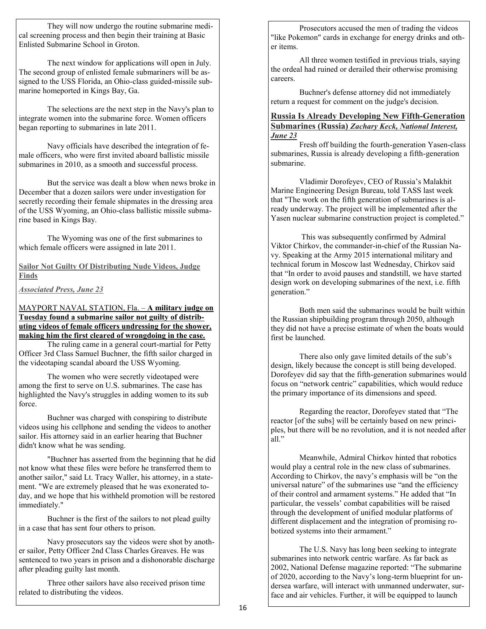They will now undergo the routine submarine medical screening process and then begin their training at Basic Enlisted Submarine School in Groton.

The next window for applications will open in July. The second group of enlisted female submariners will be assigned to the USS Florida, an Ohio-class guided-missile submarine homeported in Kings Bay, Ga.

The selections are the next step in the Navy's plan to integrate women into the submarine force. Women officers began reporting to submarines in late 2011.

Navy officials have described the integration of female officers, who were first invited aboard ballistic missile submarines in 2010, as a smooth and successful process.

But the service was dealt a blow when news broke in December that a dozen sailors were under investigation for secretly recording their female shipmates in the dressing area of the USS Wyoming, an Ohio-class ballistic missile submarine based in Kings Bay.

The Wyoming was one of the first submarines to which female officers were assigned in late 2011.

### **[Sailor Not Guilty Of Distributing Nude Videos, Judge](http://Female%20Enlisted%20Sailors%20Selected%20for%20Submarine%20Service%0dEnlisted%20Women%20in%20Submarines%20Task%20Force%20Public%20Affairs,%20www.navy.mil,%20June%2022%0d%0d)  [Finds](http://Female%20Enlisted%20Sailors%20Selected%20for%20Submarine%20Service%0dEnlisted%20Women%20in%20Submarines%20Task%20Force%20Public%20Affairs,%20www.navy.mil,%20June%2022%0d%0d)**

*[Associated Press, June 23](http://Female%20Enlisted%20Sailors%20Selected%20for%20Submarine%20Service%0dEnlisted%20Women%20in%20Submarines%20Task%20Force%20Public%20Affairs,%20www.navy.mil,%20June%2022%0d%0d)*

MAYPORT NAVAL STATION, Fla. – **A military judge on Tuesday found a submarine sailor not guilty of distributing videos of female officers undressing for the shower, making him the first cleared of wrongdoing in the case.**

The ruling came in a general court-martial for Petty Officer 3rd Class Samuel Buchner, the fifth sailor charged in the videotaping scandal aboard the USS Wyoming.

The women who were secretly videotaped were among the first to serve on U.S. submarines. The case has highlighted the Navy's struggles in adding women to its sub force.

Buchner was charged with conspiring to distribute videos using his cellphone and sending the videos to another sailor. His attorney said in an earlier hearing that Buchner didn't know what he was sending.

"Buchner has asserted from the beginning that he did not know what these files were before he transferred them to another sailor," said Lt. Tracy Waller, his attorney, in a statement. "We are extremely pleased that he was exonerated today, and we hope that his withheld promotion will be restored immediately."

Buchner is the first of the sailors to not plead guilty in a case that has sent four others to prison.

Navy prosecutors say the videos were shot by another sailor, Petty Officer 2nd Class Charles Greaves. He was sentenced to two years in prison and a dishonorable discharge after pleading guilty last month.

Three other sailors have also received prison time related to distributing the videos.

Prosecutors accused the men of trading the videos "like Pokemon" cards in exchange for energy drinks and other items.

All three women testified in previous trials, saying the ordeal had ruined or derailed their otherwise promising careers.

Buchner's defense attorney did not immediately return a request for comment on the judge's decision.

## **Russia Is Already Developing New Fifth-Generation Submarines (Russia)** *Zachary Keck, National Interest, June 23*

Fresh off building the fourth-generation Yasen-class submarines, Russia is already developing a fifth-generation submarine.

Vladimir Dorofeyev, CEO of Russia's Malakhit Marine Engineering Design Bureau, told TASS last week that "The work on the fifth generation of submarines is already underway. The project will be implemented after the Yasen nuclear submarine construction project is completed."

This was subsequently confirmed by Admiral Viktor Chirkov, the commander-in-chief of the Russian Navy. Speaking at the Army 2015 international military and technical forum in Moscow last Wednesday, Chirkov said that "In order to avoid pauses and standstill, we have started design work on developing submarines of the next, i.e. fifth generation."

Both men said the submarines would be built within the Russian shipbuilding program through 2050, although they did not have a precise estimate of when the boats would first be launched.

There also only gave limited details of the sub's design, likely because the concept is still being developed. Dorofeyev did say that the fifth-generation submarines would focus on "network centric" capabilities, which would reduce the primary importance of its dimensions and speed.

Regarding the reactor, Dorofeyev stated that "The reactor [of the subs] will be certainly based on new principles, but there will be no revolution, and it is not needed after all."

Meanwhile, Admiral Chirkov hinted that robotics would play a central role in the new class of submarines. According to Chirkov, the navy's emphasis will be "on the universal nature" of the submarines use "and the efficiency of their control and armament systems." He added that "In particular, the vessels' combat capabilities will be raised through the development of unified modular platforms of different displacement and the integration of promising robotized systems into their armament."

The U.S. Navy has long been seeking to integrate submarines into network centric warfare. As far back as 2002, National Defense magazine reported: "The submarine of 2020, according to the Navy's long-term blueprint for undersea warfare, will interact with unmanned underwater, surface and air vehicles. Further, it will be equipped to launch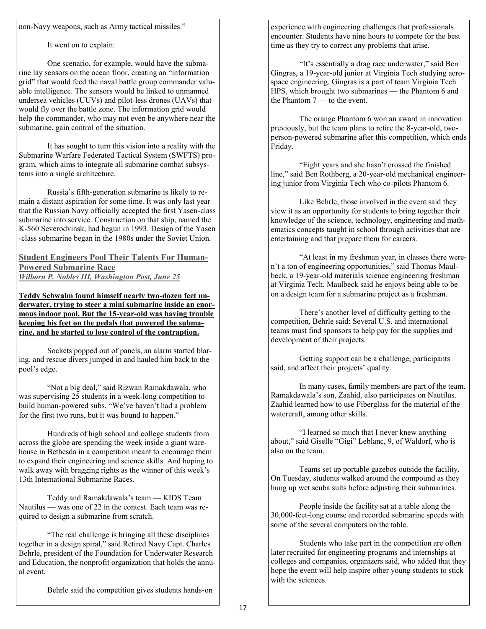non-Navy weapons, such as Army tactical missiles."

It went on to explain:

One scenario, for example, would have the submarine lay sensors on the ocean floor, creating an "information" grid" that would feed the naval battle group commander valuable intelligence. The sensors would be linked to unmanned undersea vehicles (UUVs) and pilot-less drones (UAVs) that would fly over the battle zone. The information grid would help the commander, who may not even be anywhere near the submarine, gain control of the situation.

It has sought to turn this vision into a reality with the Submarine Warfare Federated Tactical System (SWFTS) program, which aims to integrate all submarine combat subsystems into a single architecture.

Russia's fifth-generation submarine is likely to remain a distant aspiration for some time. It was only last year that the Russian Navy officially accepted the first Yasen-class submarine into service. Construction on that ship, named the K-560 Severodvinsk, had begun in 1993. Design of the Yasen -class submarine began in the 1980s under the Soviet Union.

**[Student Engineers Pool Their Talents For Human](file:///C:/Users/george/Desktop/uswn%20daily%20news/Jul%2015%20SubVets%20Newsletter.docx#Underwater#Underwater)-[Powered Submarine Race](file:///C:/Users/george/Desktop/uswn%20daily%20news/Jul%2015%20SubVets%20Newsletter.docx#Underwater#Underwater)** *[Wilborn P. Nobles III, Washington Post, June 25](file:///C:/Users/george/Desktop/uswn%20daily%20news/Jul%2015%20SubVets%20Newsletter.docx#Underwater#Underwater)*

**Teddy Schwalm found himself nearly two-dozen feet underwater, trying to steer a mini submarine inside an enormous indoor pool. But the 15-year-old was having trouble keeping his feet on the pedals that powered the submarine, and he started to lose control of the contraption.**

Sockets popped out of panels, an alarm started blaring, and rescue divers jumped in and hauled him back to the pool's edge.

"Not a big deal," said Rizwan Ramakdawala, who was supervising 25 students in a week-long competition to build human-powered subs. "We've haven't had a problem for the first two runs, but it was bound to happen."

Hundreds of high school and college students from across the globe are spending the week inside a giant warehouse in Bethesda in a competition meant to encourage them to expand their engineering and science skills. And hoping to walk away with bragging rights as the winner of this week's 13th International Submarine Races.

Teddy and Ramakdawala's team — KIDS Team Nautilus — was one of 22 in the contest. Each team was required to design a submarine from scratch.

―The real challenge is bringing all these disciplines together in a design spiral," said Retired Navy Capt. Charles Behrle, president of the Foundation for Underwater Research and Education, the nonprofit organization that holds the annual event.

Behrle said the competition gives students hands-on

experience with engineering challenges that professionals encounter. Students have nine hours to compete for the best time as they try to correct any problems that arise.

"It's essentially a drag race underwater," said Ben Gingras, a 19-year-old junior at Virginia Tech studying aerospace engineering. Gingras is a part of team Virginia Tech HPS, which brought two submarines — the Phantom 6 and the Phantom  $7 -$  to the event.

The orange Phantom 6 won an award in innovation previously, but the team plans to retire the 8-year-old, twoperson-powered submarine after this competition, which ends Friday.

―Eight years and she hasn't crossed the finished line," said Ben Rothberg, a 20-year-old mechanical engineering junior from Virginia Tech who co-pilots Phantom 6.

Like Behrle, those involved in the event said they view it as an opportunity for students to bring together their knowledge of the science, technology, engineering and mathematics concepts taught in school through activities that are entertaining and that prepare them for careers.

"At least in my freshman year, in classes there weren't a ton of engineering opportunities," said Thomas Maulbeck, a 19-year-old materials science engineering freshman at Virginia Tech. Maulbeck said he enjoys being able to be on a design team for a submarine project as a freshman.

There's another level of difficulty getting to the competition, Behrle said: Several U.S. and international teams must find sponsors to help pay for the supplies and development of their projects.

Getting support can be a challenge, participants said, and affect their projects' quality.

In many cases, family members are part of the team. Ramakdawala's son, Zaahid, also participates on Nautilus. Zaahid learned how to use Fiberglass for the material of the watercraft, among other skills.

"I learned so much that I never knew anything about," said Giselle "Gigi" Leblanc, 9, of Waldorf, who is also on the team.

Teams set up portable gazebos outside the facility. On Tuesday, students walked around the compound as they hung up wet scuba suits before adjusting their submarines.

People inside the facility sat at a table along the 30,000-feet-long course and recorded submarine speeds with some of the several computers on the table.

Students who take part in the competition are often later recruited for engineering programs and internships at colleges and companies, organizers said, who added that they hope the event will help inspire other young students to stick with the sciences.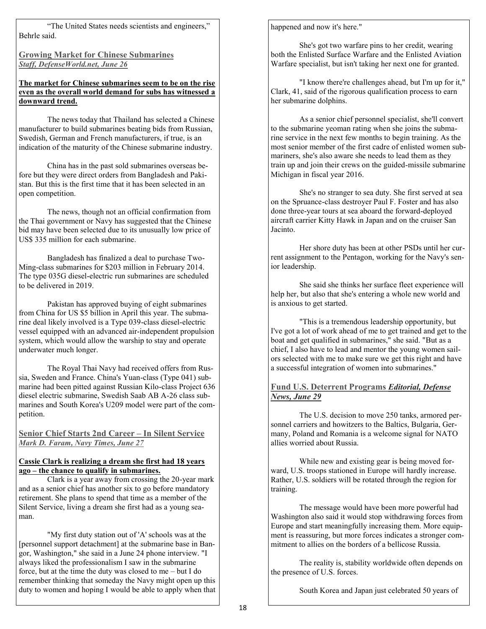"The United States needs scientists and engineers," Behrle said.

**[Growing Market for Chinese Submarine](file:///C:/Users/george/Desktop/uswn%20daily%20news/Jul%2015%20SubVets%20Newsletter.docx#Underwater#Underwater)s** *[Staff, DefenseWorld.net, June 26](file:///C:/Users/george/Desktop/uswn%20daily%20news/Jul%2015%20SubVets%20Newsletter.docx#Underwater#Underwater)*

### **The market for Chinese submarines seem to be on the rise even as the overall world demand for subs has witnessed a downward trend.**

The news today that Thailand has selected a Chinese manufacturer to build submarines beating bids from Russian, Swedish, German and French manufacturers, if true, is an indication of the maturity of the Chinese submarine industry.

China has in the past sold submarines overseas before but they were direct orders from Bangladesh and Pakistan. But this is the first time that it has been selected in an open competition.

The news, though not an official confirmation from the Thai government or Navy has suggested that the Chinese bid may have been selected due to its unusually low price of US\$ 335 million for each submarine.

Bangladesh has finalized a deal to purchase Two-Ming-class submarines for \$203 million in February 2014. The type 035G diesel-electric run submarines are scheduled to be delivered in 2019.

Pakistan has approved buying of eight submarines from China for US \$5 billion in April this year. The submarine deal likely involved is a Type 039-class diesel-electric vessel equipped with an advanced air-independent propulsion system, which would allow the warship to stay and operate underwater much longer.

The Royal Thai Navy had received offers from Russia, Sweden and France. China's Yuan-class (Type 041) submarine had been pitted against Russian Kilo-class Project 636 diesel electric submarine, Swedish Saab AB A-26 class submarines and South Korea's U209 model were part of the competition.

**[Senior Chief Starts 2nd Career –](file:///C:/Users/george/Desktop/uswn%20daily%20news/Jul%2015%20SubVets%20Newsletter.docx#Underwater#Underwater) In Silent Service** *[Mark D. Faram, Navy Times, June 27](file:///C:/Users/george/Desktop/uswn%20daily%20news/Jul%2015%20SubVets%20Newsletter.docx#Underwater#Underwater)*

### **Cassie Clark is realizing a dream she first had 18 years ago – the chance to qualify in submarines.**

Clark is a year away from crossing the 20-year mark and as a senior chief has another six to go before mandatory retirement. She plans to spend that time as a member of the Silent Service, living a dream she first had as a young seaman.

"My first duty station out of 'A' schools was at the [personnel support detachment] at the submarine base in Bangor, Washington," she said in a June 24 phone interview. "I always liked the professionalism I saw in the submarine force, but at the time the duty was closed to me – but I do remember thinking that someday the Navy might open up this duty to women and hoping I would be able to apply when that happened and now it's here."

She's got two warfare pins to her credit, wearing both the Enlisted Surface Warfare and the Enlisted Aviation Warfare specialist, but isn't taking her next one for granted.

"I know there're challenges ahead, but I'm up for it," Clark, 41, said of the rigorous qualification process to earn her submarine dolphins.

As a senior chief personnel specialist, she'll convert to the submarine yeoman rating when she joins the submarine service in the next few months to begin training. As the most senior member of the first cadre of enlisted women submariners, she's also aware she needs to lead them as they train up and join their crews on the guided-missile submarine Michigan in fiscal year 2016.

She's no stranger to sea duty. She first served at sea on the Spruance-class destroyer Paul F. Foster and has also done three-year tours at sea aboard the forward-deployed aircraft carrier Kitty Hawk in Japan and on the cruiser San Jacinto.

Her shore duty has been at other PSDs until her current assignment to the Pentagon, working for the Navy's senior leadership.

She said she thinks her surface fleet experience will help her, but also that she's entering a whole new world and is anxious to get started.

"This is a tremendous leadership opportunity, but I've got a lot of work ahead of me to get trained and get to the boat and get qualified in submarines," she said. "But as a chief, I also have to lead and mentor the young women sailors selected with me to make sure we get this right and have a successful integration of women into submarines."

# **Fund U.S. Deterrent Programs** *Editorial, Defense News, June 29*

The U.S. decision to move 250 tanks, armored personnel carriers and howitzers to the Baltics, Bulgaria, Germany, Poland and Romania is a welcome signal for NATO allies worried about Russia.

While new and existing gear is being moved forward, U.S. troops stationed in Europe will hardly increase. Rather, U.S. soldiers will be rotated through the region for training.

The message would have been more powerful had Washington also said it would stop withdrawing forces from Europe and start meaningfully increasing them. More equipment is reassuring, but more forces indicates a stronger commitment to allies on the borders of a bellicose Russia.

The reality is, stability worldwide often depends on the presence of U.S. forces.

South Korea and Japan just celebrated 50 years of